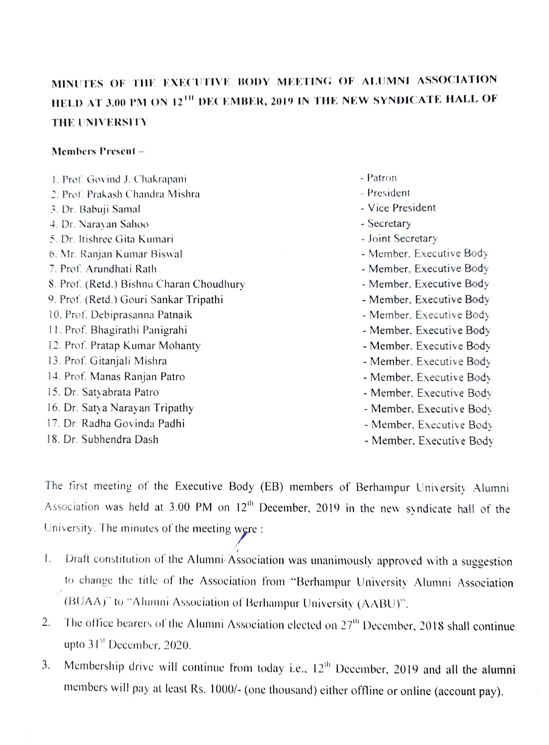## MINUTES OF THE EXECUTIVE BODY MEETING OF ALUMNI ASSOCIATION HELD AT 3.00 PM ON 12<sup>111</sup> DECEMBER, 2019 IN THE NEW SYNDICATE HALL OF THE UNIVERSITY

## Members Present-

| 1. Prof. Govind J. Chakrapani            | - Patron                 |
|------------------------------------------|--------------------------|
| 2. Prof. Prakash Chandra Mishra          | - President              |
| 3. Dr. Babuji Samal                      | - Vice President         |
| 4. Dr. Narayan Sahoo                     | - Secretary              |
| 5. Dr. Itishree Gita Kumari              | - Joint Secretary        |
| 6. Mr. Ranjan Kumar Biswal               | - Member, Executive Body |
| 7. Prof. Arundhati Rath                  | - Member, Executive Body |
| 8. Prof. (Retd.) Bishnu Charan Choudhury | - Member, Executive Body |
| 9. Prof. (Retd.) Gouri Sankar Tripathi   | - Member, Executive Body |
| 10. Prof. Debiprasanna Patnaik           | - Member, Executive Body |
| 11. Prof. Bhagirathi Panigrahi           | - Member, Executive Body |
| 12. Prof. Pratap Kumar Mohanty           | - Member, Executive Body |
| 13. Prof. Gitanjali Mishra               | - Member, Executive Body |
| 14. Prof. Manas Ranjan Patro             | - Member, Executive Body |
| 15. Dr. Satyabrata Patro                 | - Member, Executive Body |
| 16. Dr. Satya Narayan Tripathy           | - Member, Executive Body |
| 17. Dr. Radha Govinda Padhi              | - Member, Executive Body |
| 18. Dr. Subhendra Dash                   | - Member, Executive Rody |

- 
- 18. Dr. Subhendra Dash **18. Organization** Member, Executive Body

The first meeting of the Executive Body (EB) members of Berhampur University Alumni Association was held at  $3.00$  PM on  $12<sup>th</sup>$  December, 2019 in the new syndicate hall of the University. The minutes of the meeting were:

- 1. Draft constitution of the Alumni Association was unanimously approved with a suggestion to change the title of the Association from "Berhampur University Alumni Association (BUAA)" to "Alumni Association of Berhampur University (AABU).
- 2. The office bearers of the Alumni Association elected on  $27<sup>th</sup>$  December, 2018 shall continue upto  $31<sup>st</sup>$  December, 2020.
- 3. Membership drive will continue from today i.e.,  $12<sup>th</sup>$  December, 2019 and all the alumni members will pay at least Rs. 1000/- (one thousand) either offline or online (account pay).